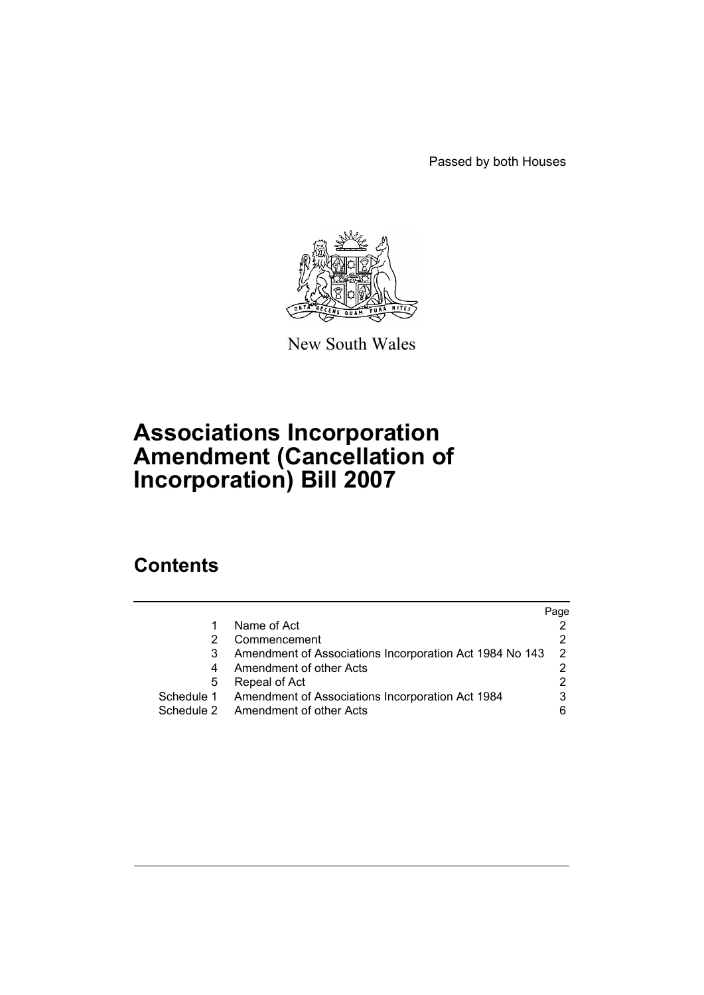Passed by both Houses



New South Wales

# **Associations Incorporation Amendment (Cancellation of Incorporation) Bill 2007**

# **Contents**

|            |                                                         | Page |
|------------|---------------------------------------------------------|------|
|            | Name of Act                                             |      |
|            | Commencement                                            | 2    |
|            | Amendment of Associations Incorporation Act 1984 No 143 | 2    |
| 4          | Amendment of other Acts                                 | 2    |
| 5          | Repeal of Act                                           | 2    |
| Schedule 1 | Amendment of Associations Incorporation Act 1984        | 3    |
| Schedule 2 | Amendment of other Acts                                 | 6    |
|            |                                                         |      |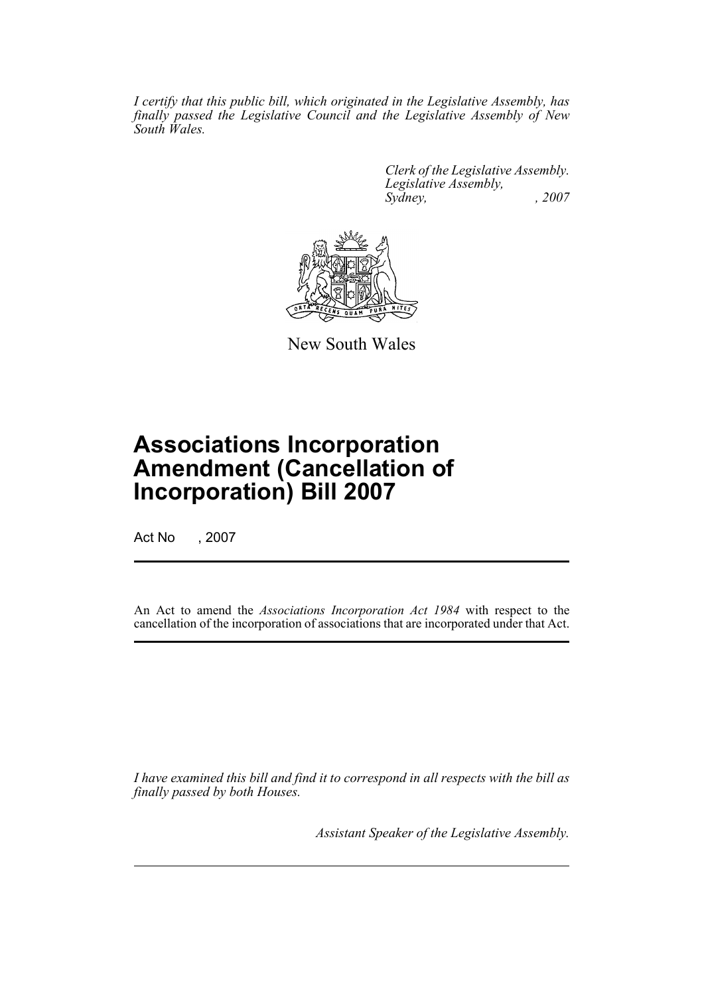*I certify that this public bill, which originated in the Legislative Assembly, has finally passed the Legislative Council and the Legislative Assembly of New South Wales.*

> *Clerk of the Legislative Assembly. Legislative Assembly, Sydney, , 2007*



New South Wales

# **Associations Incorporation Amendment (Cancellation of Incorporation) Bill 2007**

Act No , 2007

An Act to amend the *Associations Incorporation Act 1984* with respect to the cancellation of the incorporation of associations that are incorporated under that Act.

*I have examined this bill and find it to correspond in all respects with the bill as finally passed by both Houses.*

*Assistant Speaker of the Legislative Assembly.*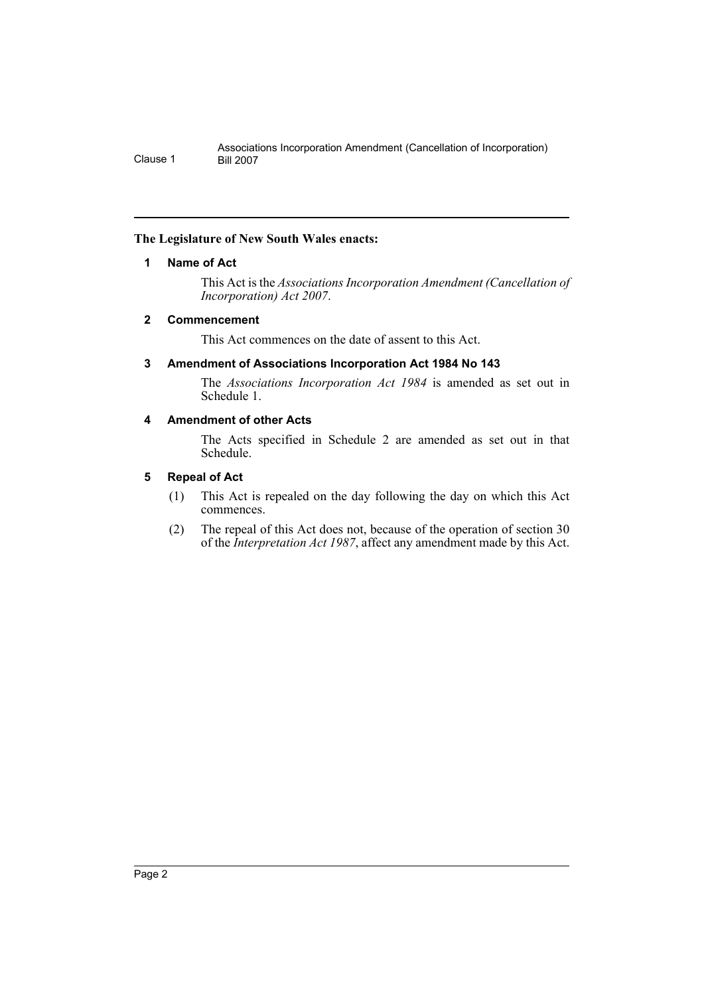### <span id="page-2-0"></span>**The Legislature of New South Wales enacts:**

## **1 Name of Act**

This Act is the *Associations Incorporation Amendment (Cancellation of Incorporation) Act 2007*.

## <span id="page-2-1"></span>**2 Commencement**

This Act commences on the date of assent to this Act.

## <span id="page-2-2"></span>**3 Amendment of Associations Incorporation Act 1984 No 143**

The *Associations Incorporation Act 1984* is amended as set out in Schedule 1.

# <span id="page-2-3"></span>**4 Amendment of other Acts**

The Acts specified in Schedule 2 are amended as set out in that Schedule.

## <span id="page-2-4"></span>**5 Repeal of Act**

- (1) This Act is repealed on the day following the day on which this Act commences.
- (2) The repeal of this Act does not, because of the operation of section 30 of the *Interpretation Act 1987*, affect any amendment made by this Act.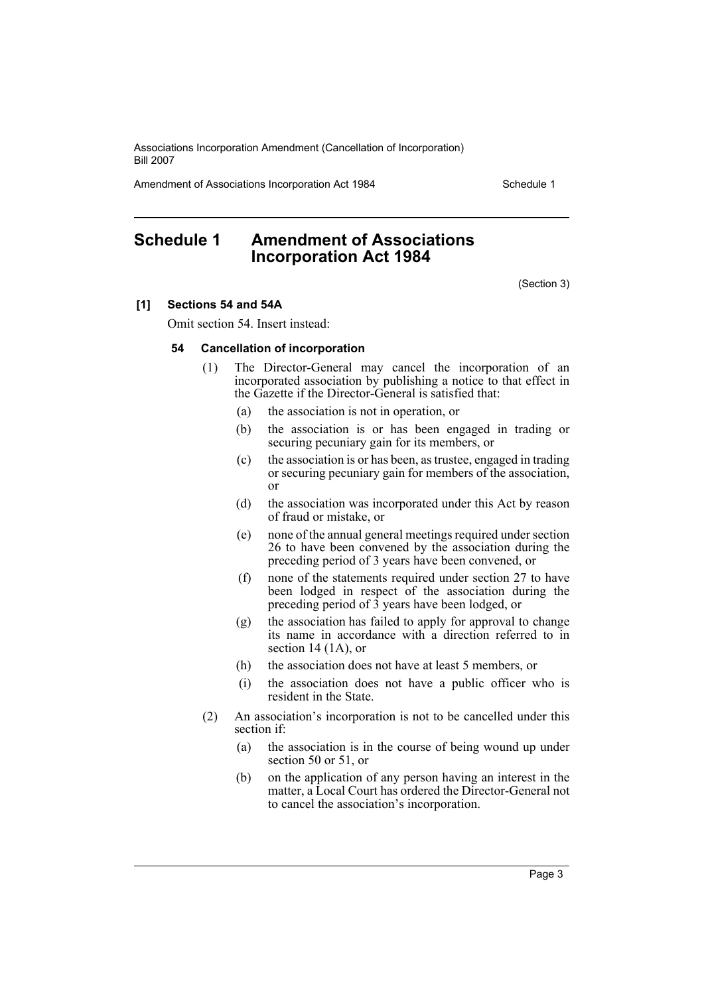Amendment of Associations Incorporation Act 1984 Schedule 1

# <span id="page-3-0"></span>**Schedule 1 Amendment of Associations Incorporation Act 1984**

(Section 3)

#### **[1] Sections 54 and 54A**

Omit section 54. Insert instead:

#### **54 Cancellation of incorporation**

- (1) The Director-General may cancel the incorporation of an incorporated association by publishing a notice to that effect in the Gazette if the Director-General is satisfied that:
	- (a) the association is not in operation, or
	- (b) the association is or has been engaged in trading or securing pecuniary gain for its members, or
	- (c) the association is or has been, as trustee, engaged in trading or securing pecuniary gain for members of the association, or
	- (d) the association was incorporated under this Act by reason of fraud or mistake, or
	- (e) none of the annual general meetings required under section 26 to have been convened by the association during the preceding period of 3 years have been convened, or
	- (f) none of the statements required under section 27 to have been lodged in respect of the association during the preceding period of 3 years have been lodged, or
	- (g) the association has failed to apply for approval to change its name in accordance with a direction referred to in section 14 (1A), or
	- (h) the association does not have at least 5 members, or
	- (i) the association does not have a public officer who is resident in the State.
- (2) An association's incorporation is not to be cancelled under this section if:
	- (a) the association is in the course of being wound up under section 50 or 51, or
	- (b) on the application of any person having an interest in the matter, a Local Court has ordered the Director-General not to cancel the association's incorporation.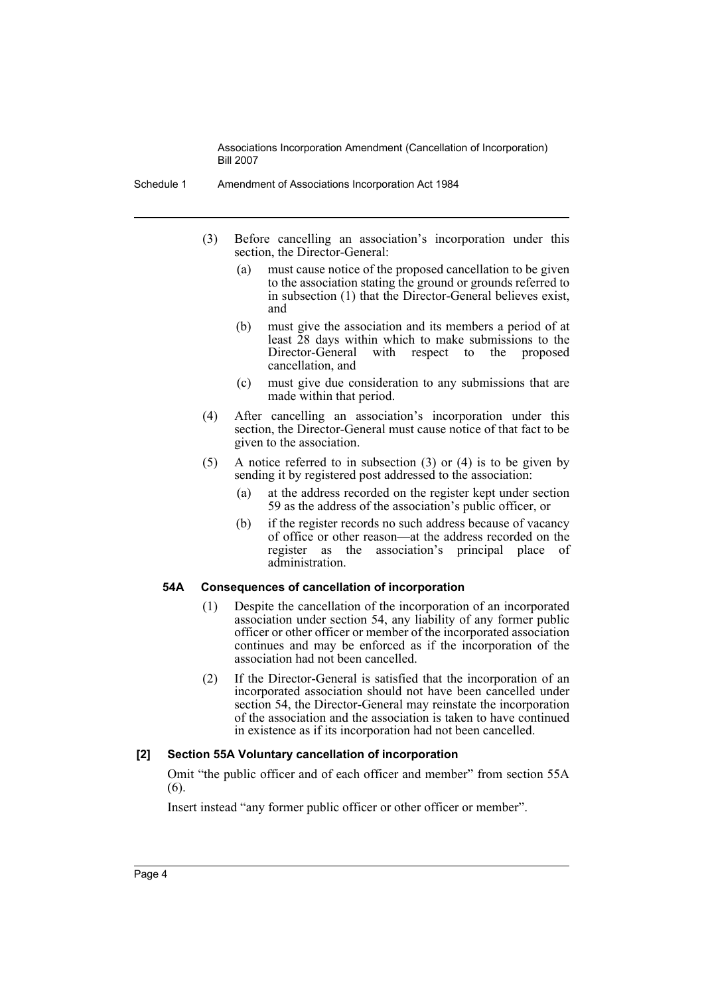- Schedule 1 Amendment of Associations Incorporation Act 1984
	- (3) Before cancelling an association's incorporation under this section, the Director-General:
		- (a) must cause notice of the proposed cancellation to be given to the association stating the ground or grounds referred to in subsection (1) that the Director-General believes exist, and
		- (b) must give the association and its members a period of at least 28 days within which to make submissions to the Director-General with respect to the proposed cancellation, and
		- (c) must give due consideration to any submissions that are made within that period.
	- (4) After cancelling an association's incorporation under this section, the Director-General must cause notice of that fact to be given to the association.
	- (5) A notice referred to in subsection (3) or (4) is to be given by sending it by registered post addressed to the association:
		- (a) at the address recorded on the register kept under section 59 as the address of the association's public officer, or
		- (b) if the register records no such address because of vacancy of office or other reason—at the address recorded on the register as the association's principal place of administration.

#### **54A Consequences of cancellation of incorporation**

- (1) Despite the cancellation of the incorporation of an incorporated association under section 54, any liability of any former public officer or other officer or member of the incorporated association continues and may be enforced as if the incorporation of the association had not been cancelled.
- (2) If the Director-General is satisfied that the incorporation of an incorporated association should not have been cancelled under section 54, the Director-General may reinstate the incorporation of the association and the association is taken to have continued in existence as if its incorporation had not been cancelled.

#### **[2] Section 55A Voluntary cancellation of incorporation**

Omit "the public officer and of each officer and member" from section 55A (6).

Insert instead "any former public officer or other officer or member".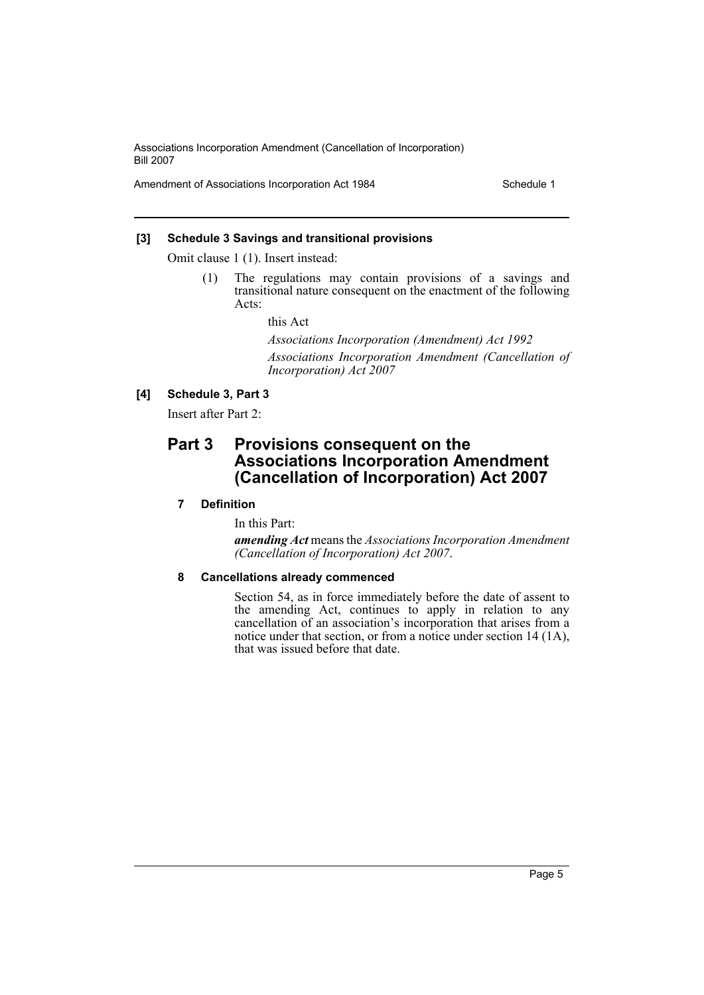Amendment of Associations Incorporation Act 1984 Schedule 1

### **[3] Schedule 3 Savings and transitional provisions**

Omit clause 1 (1). Insert instead:

- (1) The regulations may contain provisions of a savings and transitional nature consequent on the enactment of the following Acts:
	- this Act

*Associations Incorporation (Amendment) Act 1992 Associations Incorporation Amendment (Cancellation of Incorporation) Act 2007*

# **[4] Schedule 3, Part 3**

Insert after Part 2:

# **Part 3 Provisions consequent on the Associations Incorporation Amendment (Cancellation of Incorporation) Act 2007**

# **7 Definition**

In this Part:

*amending Act* means the *Associations Incorporation Amendment (Cancellation of Incorporation) Act 2007*.

### **8 Cancellations already commenced**

Section 54, as in force immediately before the date of assent to the amending Act, continues to apply in relation to any cancellation of an association's incorporation that arises from a notice under that section, or from a notice under section 14 (1A), that was issued before that date.